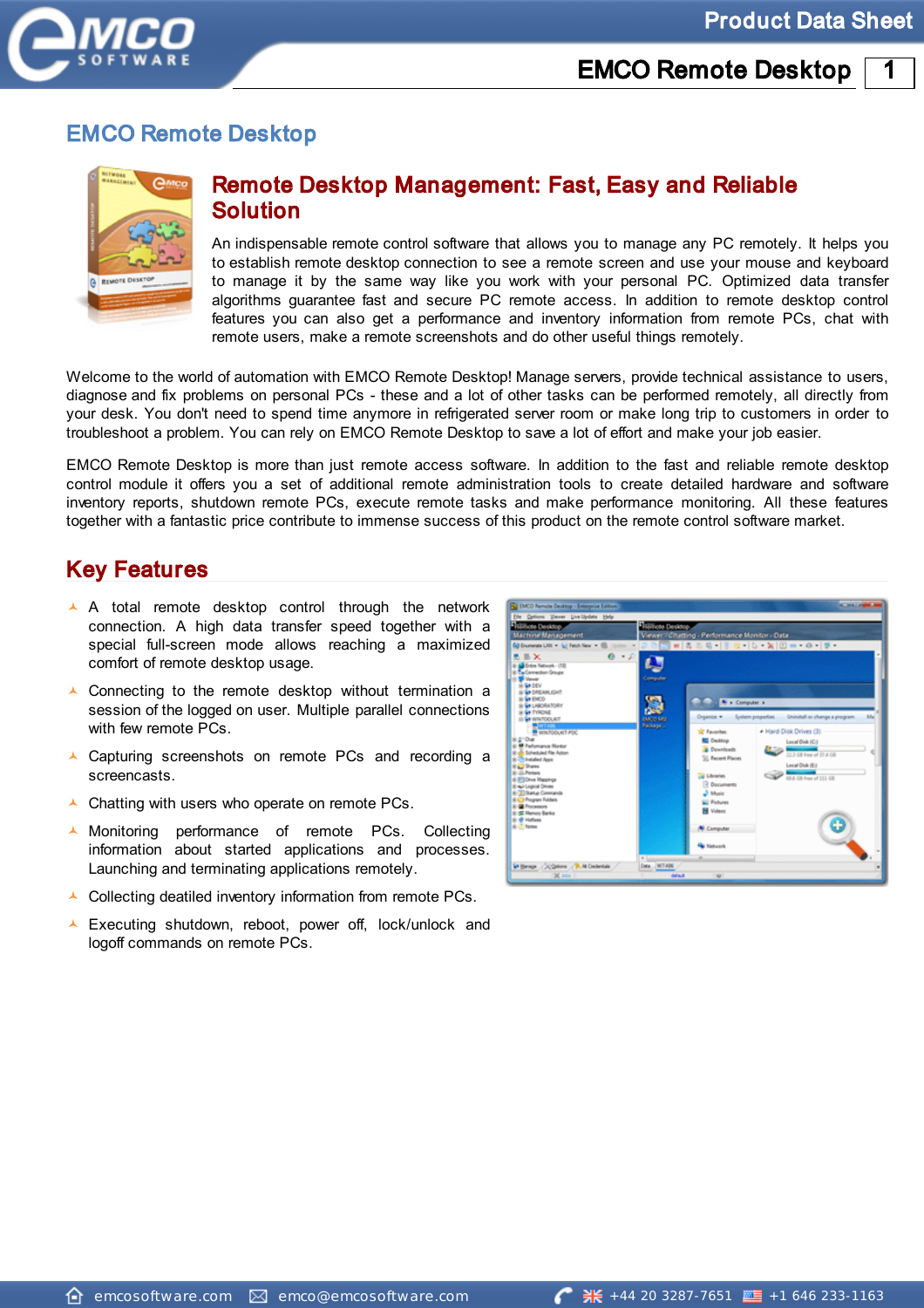



### Remote Desktop Management: Fast, Easy and Reliable Solution

An indispensable remote control software that allows you to manage any PC remotely. It helps you to establish remote desktop connection to see a remote screen and use your mouse and keyboard to manage it by the same way like you work with your personal PC. Optimized data transfer algorithms guarantee fast and secure PC remote access. In addition to remote desktop control features you can also get a performance and inventory information from remote PCs, chat with remote users, make a remote screenshots and do other useful things remotely.

Welcome to the world of automation with EMCO Remote Desktop! Manage servers, provide technical assistance to users, diagnose and fix problems on personal PCs - these and a lot of other tasks can be performed remotely, all directly from your desk. You don't need to spend time anymore in refrigerated server room or make long trip to customers in order to troubleshoot a problem. You can rely on EMCO Remote Desktop to save a lot of effort and make your job easier.

EMCO Remote Desktop is more than just remote access software. In addition to the fast and reliable remote desktop control module it offers you a set of additional remote administration tools to create detailed hardware and software inventory reports, shutdown remote PCs, execute remote tasks and make performance monitoring. All these features together with a fantastic price contribute to immense success of this product on the remote control software market.

### Key Features

- A A total remote desktop control through the network connection. A high data transfer speed together with a special full-screen mode allows reaching a maximized comfort of remote desktop usage.
- $\triangle$  Connecting to the remote desktop without termination a session of the logged on user. Multiple parallel connections with few remote PCs.
- ▲ Capturing screenshots on remote PCs and recording a screencasts.
- Chatting with users who operate on remote PCs.
- $\mathbf{A}$  . Monitoring performance of remote PCs. Collecting information about started applications and processes. Launching and terminating applications remotely.
- $\triangle$  Collecting deatiled inventory information from remote PCs.
- Executing shutdown, reboot, power off, lock/unlock and logoff commands on remote PCs.

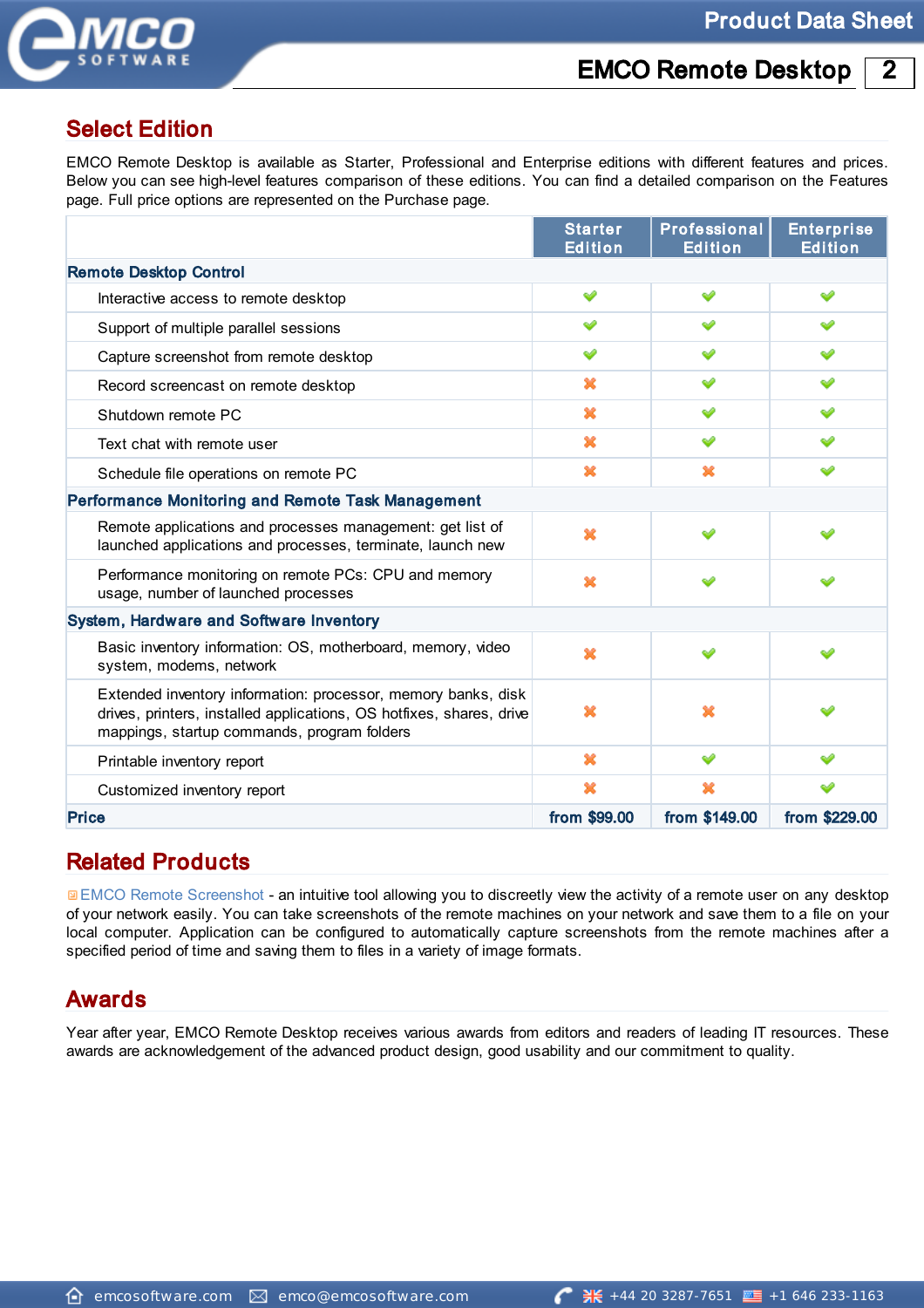



### Select Edition

EMCO Remote Desktop is available as Starter, Professional and Enterprise editions with different features and prices. Below you can see high-level features comparison of these editions. You can find a detailed comparison on the Features page. Full price options are represented on the Purchase page.

|                                                                                                                                                                                      | <b>Starter</b><br><b>Edition</b> | <b>Professional</b><br><b>Edition</b> | <b>Enterprise</b><br><b>Edition</b> |
|--------------------------------------------------------------------------------------------------------------------------------------------------------------------------------------|----------------------------------|---------------------------------------|-------------------------------------|
| <b>Remote Desktop Control</b>                                                                                                                                                        |                                  |                                       |                                     |
| Interactive access to remote desktop                                                                                                                                                 | ✅                                | ✅                                     | ୰                                   |
| Support of multiple parallel sessions                                                                                                                                                | ୰                                | ୰                                     | ୰                                   |
| Capture screenshot from remote desktop                                                                                                                                               | ୰                                | ✅                                     | ັ                                   |
| Record screencast on remote desktop                                                                                                                                                  | ×                                | ✅                                     | ୰                                   |
| Shutdown remote PC                                                                                                                                                                   | ×                                | ✅                                     | ✅                                   |
| Text chat with remote user                                                                                                                                                           | ×                                | ✅                                     | ୰                                   |
| Schedule file operations on remote PC                                                                                                                                                | ×                                | x                                     | ୰                                   |
| <b>Performance Monitoring and Remote Task Management</b>                                                                                                                             |                                  |                                       |                                     |
| Remote applications and processes management: get list of<br>launched applications and processes, terminate, launch new                                                              | ×                                | ୰                                     | ✅                                   |
| Performance monitoring on remote PCs: CPU and memory<br>usage, number of launched processes                                                                                          | ×                                | ୰                                     |                                     |
| <b>System, Hardware and Software Inventory</b>                                                                                                                                       |                                  |                                       |                                     |
| Basic inventory information: OS, motherboard, memory, video<br>system, modems, network                                                                                               | ×                                | ୰                                     |                                     |
| Extended inventory information: processor, memory banks, disk<br>drives, printers, installed applications, OS hotfixes, shares, drive<br>mappings, startup commands, program folders | x                                | x                                     |                                     |
| Printable inventory report                                                                                                                                                           | ×                                | ✅                                     |                                     |
| Customized inventory report                                                                                                                                                          | ×                                | x                                     |                                     |
| <b>Price</b>                                                                                                                                                                         | from \$99.00                     | from \$149.00                         | from \$229.00                       |

### Related Products

**[EMCO](http://emcosoftware.com/remote-screenshot) [Remote](http://emcosoftware.com/remote-screenshot) [Screenshot](http://emcosoftware.com/remote-screenshot) - an intuitive tool allowing you to discreetly view the activity of a remote user on any desktop** of your network easily. You can take screenshots of the remote machines on your network and save them to a file on your local computer. Application can be configured to automatically capture screenshots from the remote machines after a specified period of time and saving them to files in a variety of image formats.

### Awards

Year after year, EMCO Remote Desktop receives various awards from editors and readers of leading IT resources. These awards are acknowledgement of the advanced product design, good usability and our commitment to quality.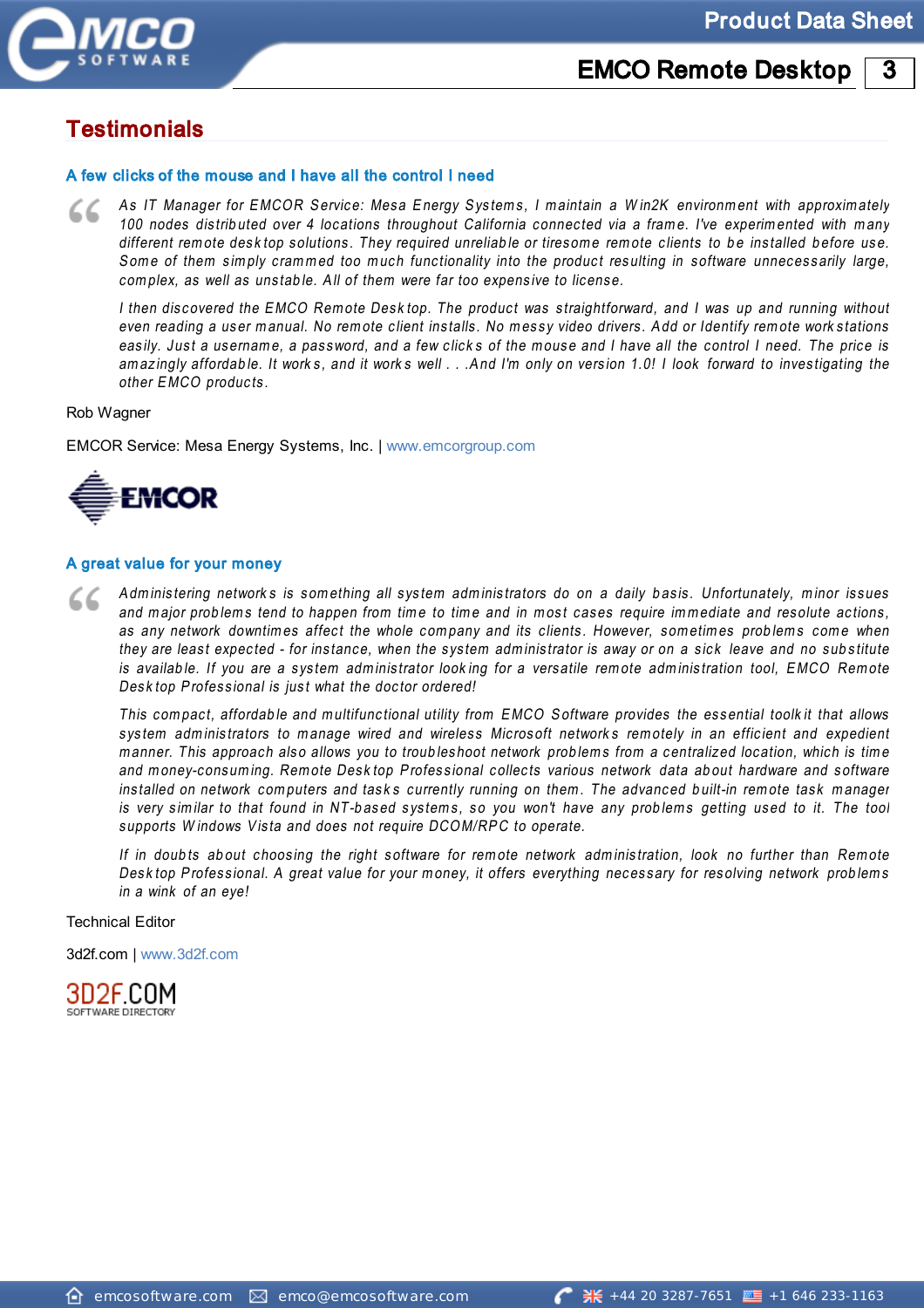

### **Product Data Sheet**

#### **EMCO Remote Desktop** 3

## **Testimonials**

#### A few clicks of the mouse and I have all the control I need

As IT Manager for EMCOR Service: Mesa Energy Systems, I maintain a Win2K environment with approximately 100 nodes distributed over 4 locations throughout California connected via a frame. I've experimented with many different remote desktop solutions. They required unreliable or tiresome remote clients to be installed before use. Some of them simply crammed too much functionality into the product resulting in software unnecessarily large, complex, as well as unstable. All of them were far too expensive to license.

I then discovered the EMCO Remote Desktop. The product was straightforward, and I was up and running without even reading a user manual. No remote client installs. No messy video drivers. Add or Identify remote work stations easily. Just a username, a password, and a few clicks of the mouse and I have all the control I need. The price is amazingly affordable. It works, and it works well . . . And I'm only on version 1.0! I look forward to investigating the other EMCO products.

Rob Wagner

EMCOR Service: Mesa Energy Systems, Inc. | www.emcorgroup.com



#### A great value for your money

Administering networks is something all system administrators do on a daily basis. Unfortunately, minor issues 72 and major problems tend to happen from time to time and in most cases require immediate and resolute actions, as any network downtimes affect the whole company and its clients. However, sometimes problems come when they are least expected - for instance, when the system administrator is away or on a sick leave and no substitute is available. If you are a system administrator looking for a versatile remote administration tool, EMCO Remote Desktop Professional is just what the doctor ordered!

This compact, affordable and multifunctional utility from EMCO Software provides the essential toolkit that allows system administrators to manage wired and wireless Microsoft networks remotely in an efficient and expedient manner. This approach also allows you to troubleshoot network problems from a centralized location, which is time and money-consuming. Remote Desktop Professional collects various network data about hardware and software installed on network computers and tasks currently running on them. The advanced built-in remote task manager is very similar to that found in NT-based systems, so you won't have any problems getting used to it. The tool supports Windows Vista and does not require DCOM/RPC to operate.

If in doubts about choosing the right software for remote network administration, look no further than Remote Desktop Professional. A great value for your money, it offers everything necessary for resolving network problems in a wink of an eye!

**Technical Editor** 

3d2f.com | www.3d2f.com

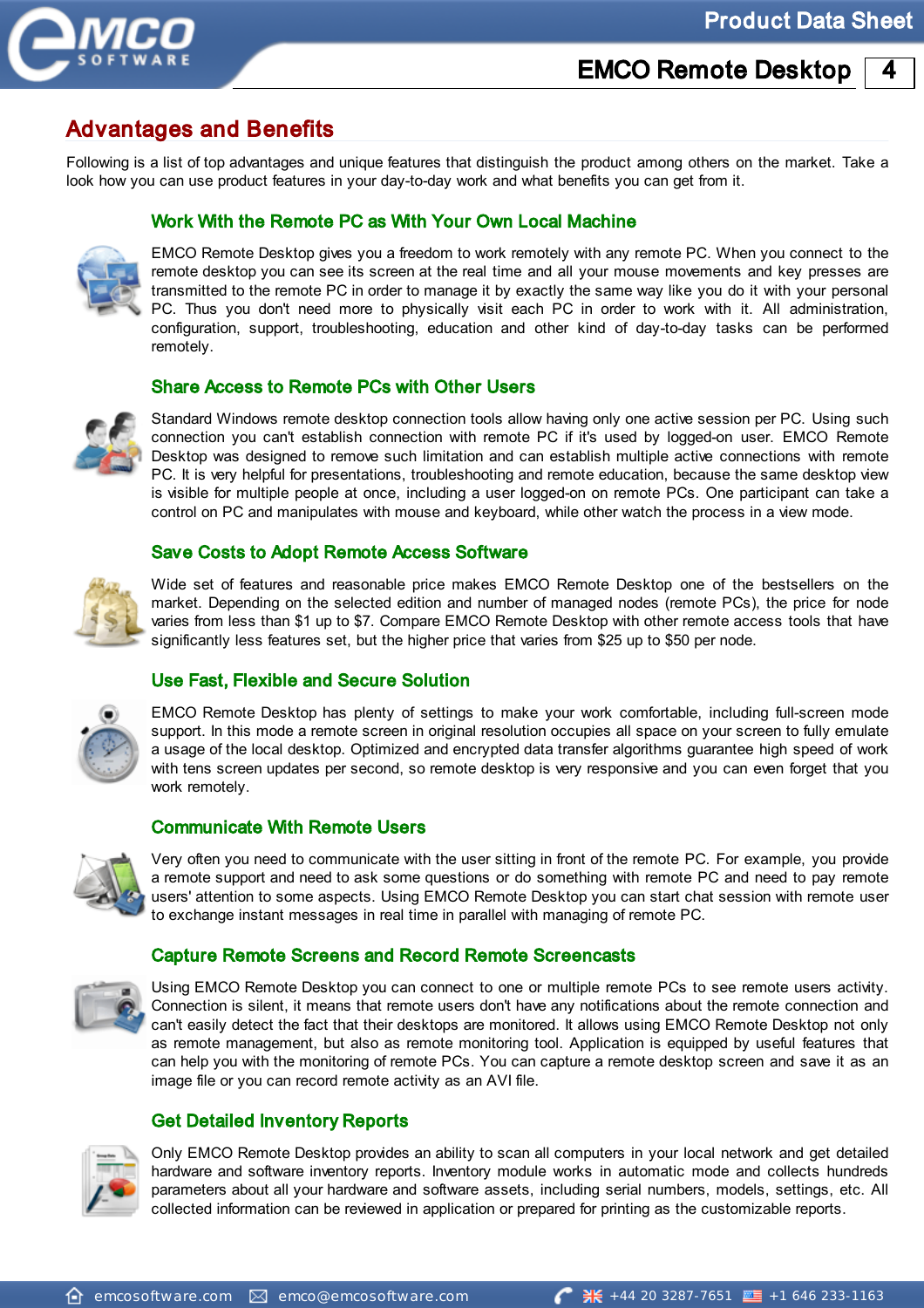

### Advantages and Benefits

Following is a list of top advantages and unique features that distinguish the product among others on the market. Take a look how you can use product features in your day-to-day work and what benefits you can get from it.

#### Work With the Remote PC as With Your Own Local Machine



EMCO Remote Desktop gives you a freedom to work remotely with any remote PC. When you connect to the remote desktop you can see its screen at the real time and all your mouse movements and key presses are transmitted to the remote PC in order to manage it by exactly the same way like you do it with your personal PC. Thus you don't need more to physically visit each PC in order to work with it. All administration, configuration, support, troubleshooting, education and other kind of day-to-day tasks can be performed remotely.

#### Share Access to Remote PCs with Other Users



Standard Windows remote desktop connection tools allow having only one active session per PC. Using such connection you can't establish connection with remote PC if it's used by logged-on user. EMCO Remote Desktop was designed to remove such limitation and can establish multiple active connections with remote PC. It is very helpful for presentations, troubleshooting and remote education, because the same desktop view is visible for multiple people at once, including a user logged-on on remote PCs. One participant can take a control on PC and manipulates with mouse and keyboard, while other watch the process in a view mode.

#### Save Costs to Adopt Remote Access Software



Wide set of features and reasonable price makes EMCO Remote Desktop one of the bestsellers on the market. Depending on the selected edition and number of managed nodes (remote PCs), the price for node varies from less than \$1 up to \$7. Compare EMCO Remote Desktop with other remote access tools that have significantly less features set, but the higher price that varies from \$25 up to \$50 per node.

#### Use Fast, Flexible and Secure Solution



EMCO Remote Desktop has plenty of settings to make your work comfortable, including full-screen mode support. In this mode a remote screen in original resolution occupies all space on your screen to fully emulate a usage of the local desktop. Optimized and encrypted data transfer algorithms guarantee high speed of work with tens screen updates per second, so remote desktop is very responsive and you can even forget that you work remotely.

#### Communicate With Remote Users



Very often you need to communicate with the user sitting in front of the remote PC. For example, you provide a remote support and need to ask some questions or do something with remote PC and need to pay remote users' attention to some aspects. Using EMCO Remote Desktop you can start chat session with remote user to exchange instant messages in real time in parallel with managing of remote PC.

#### Capture Remote Screens and Record Remote Screencasts



Using EMCO Remote Desktop you can connect to one or multiple remote PCs to see remote users activity. Connection is silent, it means that remote users don't have any notifications about the remote connection and can't easily detect the fact that their desktops are monitored. It allows using EMCO Remote Desktop not only as remote management, but also as remote monitoring tool. Application is equipped by useful features that can help you with the monitoring of remote PCs. You can capture a remote desktop screen and save it as an image file or you can record remote activity as an AVI file.

#### Get Detailed Inventory Reports



Only EMCO Remote Desktop provides an ability to scan all computers in your local network and get detailed hardware and software inventory reports. Inventory module works in automatic mode and collects hundreds parameters about all your hardware and software assets, including serial numbers, models, settings, etc. All collected information can be reviewed in application or prepared for printing as the customizable reports.